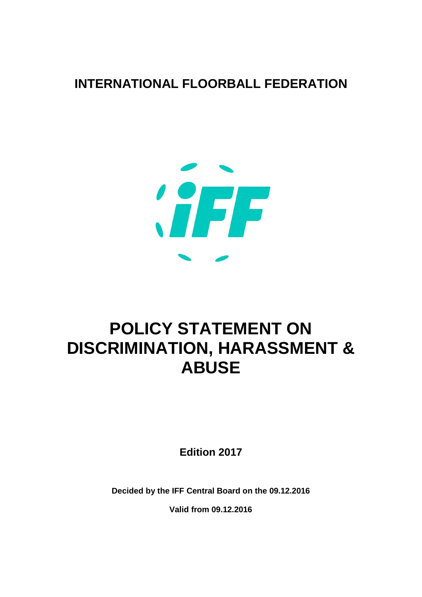

# **POLICY STATEMENT ON DISCRIMINATION, HARASSMENT & ABUSE**

**Edition 2017**

**Decided by the IFF Central Board on the 09.12.2016**

**Valid from 09.12.2016**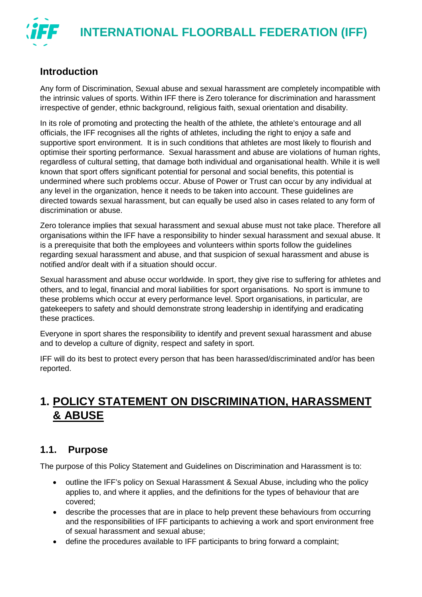

# **Introduction**

Any form of Discrimination, Sexual abuse and sexual harassment are completely incompatible with the intrinsic values of sports. Within IFF there is Zero tolerance for discrimination and harassment irrespective of gender, ethnic background, religious faith, sexual orientation and disability.

In its role of promoting and protecting the health of the athlete, the athlete's entourage and all officials, the IFF recognises all the rights of athletes, including the right to enjoy a safe and supportive sport environment. It is in such conditions that athletes are most likely to flourish and optimise their sporting performance. Sexual harassment and abuse are violations of human rights, regardless of cultural setting, that damage both individual and organisational health. While it is well known that sport offers significant potential for personal and social benefits, this potential is undermined where such problems occur. Abuse of Power or Trust can occur by any individual at any level in the organization, hence it needs to be taken into account. These guidelines are directed towards sexual harassment, but can equally be used also in cases related to any form of discrimination or abuse.

Zero tolerance implies that sexual harassment and sexual abuse must not take place. Therefore all organisations within the IFF have a responsibility to hinder sexual harassment and sexual abuse. It is a prerequisite that both the employees and volunteers within sports follow the guidelines regarding sexual harassment and abuse, and that suspicion of sexual harassment and abuse is notified and/or dealt with if a situation should occur.

Sexual harassment and abuse occur worldwide. In sport, they give rise to suffering for athletes and others, and to legal, financial and moral liabilities for sport organisations. No sport is immune to these problems which occur at every performance level. Sport organisations, in particular, are gatekeepers to safety and should demonstrate strong leadership in identifying and eradicating these practices.

Everyone in sport shares the responsibility to identify and prevent sexual harassment and abuse and to develop a culture of dignity, respect and safety in sport.

IFF will do its best to protect every person that has been harassed/discriminated and/or has been reported.

# **1. POLICY STATEMENT ON DISCRIMINATION, HARASSMENT & ABUSE**

# **1.1. Purpose**

The purpose of this Policy Statement and Guidelines on Discrimination and Harassment is to:

- outline the IFF's policy on Sexual Harassment & Sexual Abuse, including who the policy applies to, and where it applies, and the definitions for the types of behaviour that are covered;
- describe the processes that are in place to help prevent these behaviours from occurring and the responsibilities of IFF participants to achieving a work and sport environment free of sexual harassment and sexual abuse;
- define the procedures available to IFF participants to bring forward a complaint;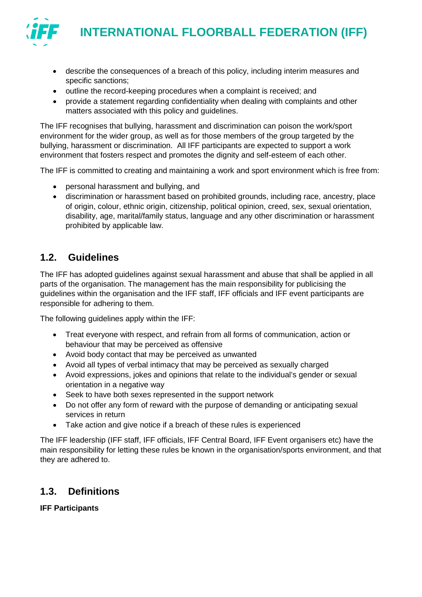

- describe the consequences of a breach of this policy, including interim measures and specific sanctions;
- outline the record-keeping procedures when a complaint is received; and
- provide a statement regarding confidentiality when dealing with complaints and other matters associated with this policy and guidelines.

The IFF recognises that bullying, harassment and discrimination can poison the work/sport environment for the wider group, as well as for those members of the group targeted by the bullying, harassment or discrimination. All IFF participants are expected to support a work environment that fosters respect and promotes the dignity and self-esteem of each other.

The IFF is committed to creating and maintaining a work and sport environment which is free from:

- personal harassment and bullying, and
- discrimination or harassment based on prohibited grounds, including race, ancestry, place of origin, colour, ethnic origin, citizenship, political opinion, creed, sex, sexual orientation, disability, age, marital/family status, language and any other discrimination or harassment prohibited by applicable law.

# **1.2. Guidelines**

The IFF has adopted guidelines against sexual harassment and abuse that shall be applied in all parts of the organisation. The management has the main responsibility for publicising the guidelines within the organisation and the IFF staff, IFF officials and IFF event participants are responsible for adhering to them.

The following guidelines apply within the IFF:

- Treat everyone with respect, and refrain from all forms of communication, action or behaviour that may be perceived as offensive
- Avoid body contact that may be perceived as unwanted
- Avoid all types of verbal intimacy that may be perceived as sexually charged
- Avoid expressions, jokes and opinions that relate to the individual's gender or sexual orientation in a negative way
- Seek to have both sexes represented in the support network
- Do not offer any form of reward with the purpose of demanding or anticipating sexual services in return
- Take action and give notice if a breach of these rules is experienced

The IFF leadership (IFF staff, IFF officials, IFF Central Board, IFF Event organisers etc) have the main responsibility for letting these rules be known in the organisation/sports environment, and that they are adhered to.

# **1.3. Definitions**

**IFF Participants**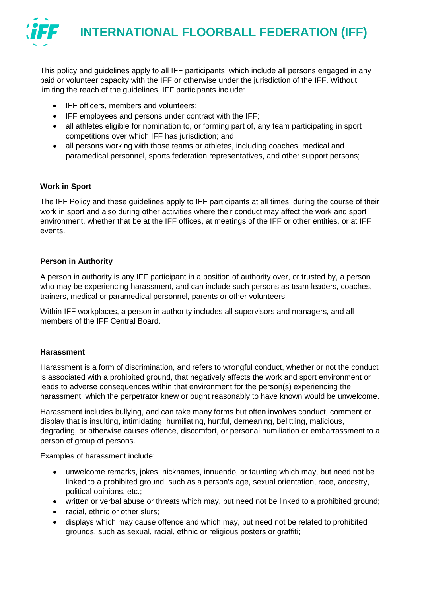

This policy and guidelines apply to all IFF participants, which include all persons engaged in any paid or volunteer capacity with the IFF or otherwise under the jurisdiction of the IFF. Without limiting the reach of the guidelines, IFF participants include:

- IFF officers, members and volunteers;
- IFF employees and persons under contract with the IFF;
- all athletes eligible for nomination to, or forming part of, any team participating in sport competitions over which IFF has jurisdiction; and
- all persons working with those teams or athletes, including coaches, medical and paramedical personnel, sports federation representatives, and other support persons;

#### **Work in Sport**

The IFF Policy and these guidelines apply to IFF participants at all times, during the course of their work in sport and also during other activities where their conduct may affect the work and sport environment, whether that be at the IFF offices, at meetings of the IFF or other entities, or at IFF events.

#### **Person in Authority**

A person in authority is any IFF participant in a position of authority over, or trusted by, a person who may be experiencing harassment, and can include such persons as team leaders, coaches, trainers, medical or paramedical personnel, parents or other volunteers.

Within IFF workplaces, a person in authority includes all supervisors and managers, and all members of the IFF Central Board.

#### **Harassment**

Harassment is a form of discrimination, and refers to wrongful conduct, whether or not the conduct is associated with a prohibited ground, that negatively affects the work and sport environment or leads to adverse consequences within that environment for the person(s) experiencing the harassment, which the perpetrator knew or ought reasonably to have known would be unwelcome.

Harassment includes bullying, and can take many forms but often involves conduct, comment or display that is insulting, intimidating, humiliating, hurtful, demeaning, belittling, malicious, degrading, or otherwise causes offence, discomfort, or personal humiliation or embarrassment to a person of group of persons.

Examples of harassment include:

- unwelcome remarks, jokes, nicknames, innuendo, or taunting which may, but need not be linked to a prohibited ground, such as a person's age, sexual orientation, race, ancestry, political opinions, etc.;
- written or verbal abuse or threats which may, but need not be linked to a prohibited ground:
- racial, ethnic or other slurs;
- displays which may cause offence and which may, but need not be related to prohibited grounds, such as sexual, racial, ethnic or religious posters or graffiti;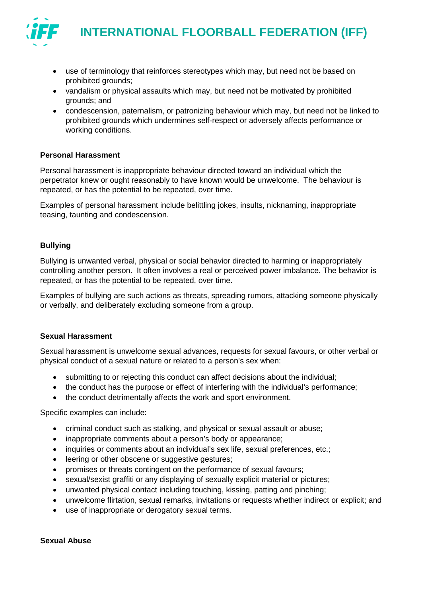

- use of terminology that reinforces stereotypes which may, but need not be based on prohibited grounds;
- vandalism or physical assaults which may, but need not be motivated by prohibited grounds; and
- condescension, paternalism, or patronizing behaviour which may, but need not be linked to prohibited grounds which undermines self-respect or adversely affects performance or working conditions.

#### **Personal Harassment**

Personal harassment is inappropriate behaviour directed toward an individual which the perpetrator knew or ought reasonably to have known would be unwelcome. The behaviour is repeated, or has the potential to be repeated, over time.

Examples of personal harassment include belittling jokes, insults, nicknaming, inappropriate teasing, taunting and condescension.

#### **Bullying**

Bullying is unwanted verbal, physical or social behavior directed to harming or inappropriately controlling another person. It often involves a real or perceived power imbalance. The behavior is repeated, or has the potential to be repeated, over time.

Examples of bullying are such actions as threats, spreading rumors, attacking someone physically or verbally, and deliberately excluding someone from a group.

#### **Sexual Harassment**

Sexual harassment is unwelcome sexual advances, requests for sexual favours, or other verbal or physical conduct of a sexual nature or related to a person's sex when:

- submitting to or rejecting this conduct can affect decisions about the individual:
- the conduct has the purpose or effect of interfering with the individual's performance;
- the conduct detrimentally affects the work and sport environment.

Specific examples can include:

- criminal conduct such as stalking, and physical or sexual assault or abuse;
- inappropriate comments about a person's body or appearance;
- inquiries or comments about an individual's sex life, sexual preferences, etc.;
- leering or other obscene or suggestive gestures;
- promises or threats contingent on the performance of sexual favours;
- sexual/sexist graffiti or any displaying of sexually explicit material or pictures;
- unwanted physical contact including touching, kissing, patting and pinching;
- unwelcome flirtation, sexual remarks, invitations or requests whether indirect or explicit; and
- use of inappropriate or derogatory sexual terms.

#### **Sexual Abuse**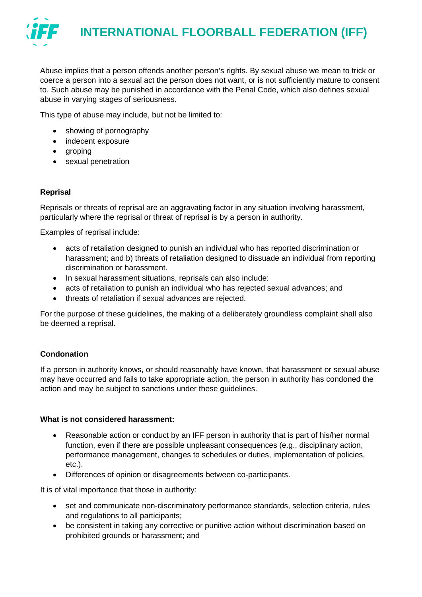

Abuse implies that a person offends another person's rights. By sexual abuse we mean to trick or coerce a person into a sexual act the person does not want, or is not sufficiently mature to consent to. Such abuse may be punished in accordance with the Penal Code, which also defines sexual abuse in varying stages of seriousness.

This type of abuse may include, but not be limited to:

- showing of pornography
- indecent exposure
- groping
- sexual penetration

#### **Reprisal**

Reprisals or threats of reprisal are an aggravating factor in any situation involving harassment, particularly where the reprisal or threat of reprisal is by a person in authority.

Examples of reprisal include:

- acts of retaliation designed to punish an individual who has reported discrimination or harassment; and b) threats of retaliation designed to dissuade an individual from reporting discrimination or harassment.
- In sexual harassment situations, reprisals can also include:
- acts of retaliation to punish an individual who has rejected sexual advances; and
- threats of retaliation if sexual advances are rejected.

For the purpose of these guidelines, the making of a deliberately groundless complaint shall also be deemed a reprisal.

#### **Condonation**

If a person in authority knows, or should reasonably have known, that harassment or sexual abuse may have occurred and fails to take appropriate action, the person in authority has condoned the action and may be subject to sanctions under these guidelines.

#### **What is not considered harassment:**

- Reasonable action or conduct by an IFF person in authority that is part of his/her normal function, even if there are possible unpleasant consequences (e.g., disciplinary action, performance management, changes to schedules or duties, implementation of policies, etc.).
- Differences of opinion or disagreements between co-participants.

It is of vital importance that those in authority:

- set and communicate non-discriminatory performance standards, selection criteria, rules and regulations to all participants;
- be consistent in taking any corrective or punitive action without discrimination based on prohibited grounds or harassment; and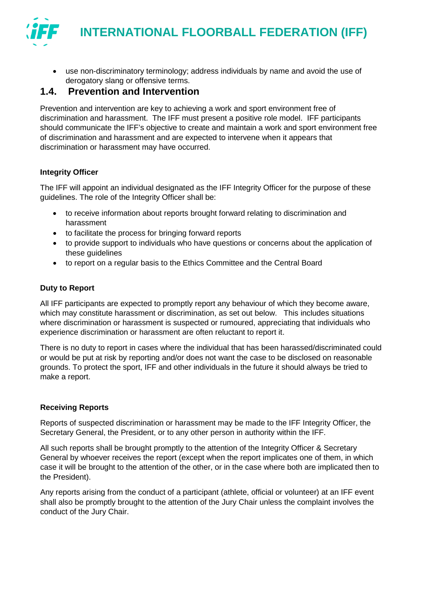

• use non-discriminatory terminology; address individuals by name and avoid the use of derogatory slang or offensive terms.

### **1.4. Prevention and Intervention**

Prevention and intervention are key to achieving a work and sport environment free of discrimination and harassment. The IFF must present a positive role model. IFF participants should communicate the IFF's objective to create and maintain a work and sport environment free of discrimination and harassment and are expected to intervene when it appears that discrimination or harassment may have occurred.

#### **Integrity Officer**

The IFF will appoint an individual designated as the IFF Integrity Officer for the purpose of these guidelines. The role of the Integrity Officer shall be:

- to receive information about reports brought forward relating to discrimination and harassment
- to facilitate the process for bringing forward reports
- to provide support to individuals who have questions or concerns about the application of these guidelines
- to report on a regular basis to the Ethics Committee and the Central Board

#### **Duty to Report**

All IFF participants are expected to promptly report any behaviour of which they become aware, which may constitute harassment or discrimination, as set out below. This includes situations where discrimination or harassment is suspected or rumoured, appreciating that individuals who experience discrimination or harassment are often reluctant to report it.

There is no duty to report in cases where the individual that has been harassed/discriminated could or would be put at risk by reporting and/or does not want the case to be disclosed on reasonable grounds. To protect the sport, IFF and other individuals in the future it should always be tried to make a report.

#### **Receiving Reports**

Reports of suspected discrimination or harassment may be made to the IFF Integrity Officer, the Secretary General, the President, or to any other person in authority within the IFF.

All such reports shall be brought promptly to the attention of the Integrity Officer & Secretary General by whoever receives the report (except when the report implicates one of them, in which case it will be brought to the attention of the other, or in the case where both are implicated then to the President).

Any reports arising from the conduct of a participant (athlete, official or volunteer) at an IFF event shall also be promptly brought to the attention of the Jury Chair unless the complaint involves the conduct of the Jury Chair.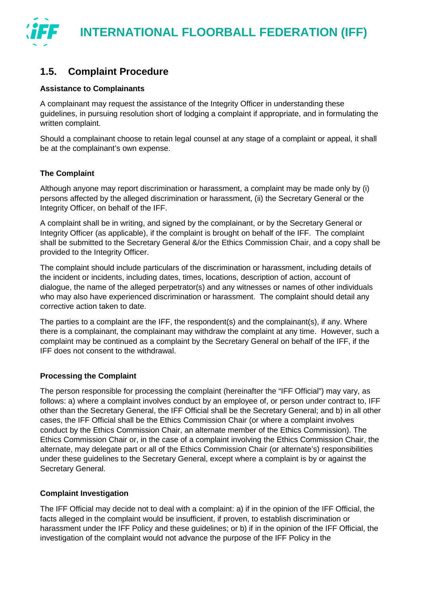

# **1.5. Complaint Procedure**

#### **Assistance to Complainants**

A complainant may request the assistance of the Integrity Officer in understanding these guidelines, in pursuing resolution short of lodging a complaint if appropriate, and in formulating the written complaint.

Should a complainant choose to retain legal counsel at any stage of a complaint or appeal, it shall be at the complainant's own expense.

#### **The Complaint**

Although anyone may report discrimination or harassment, a complaint may be made only by (i) persons affected by the alleged discrimination or harassment, (ii) the Secretary General or the Integrity Officer, on behalf of the IFF.

A complaint shall be in writing, and signed by the complainant, or by the Secretary General or Integrity Officer (as applicable), if the complaint is brought on behalf of the IFF. The complaint shall be submitted to the Secretary General &/or the Ethics Commission Chair, and a copy shall be provided to the Integrity Officer.

The complaint should include particulars of the discrimination or harassment, including details of the incident or incidents, including dates, times, locations, description of action, account of dialogue, the name of the alleged perpetrator(s) and any witnesses or names of other individuals who may also have experienced discrimination or harassment. The complaint should detail any corrective action taken to date.

The parties to a complaint are the IFF, the respondent(s) and the complainant(s), if any. Where there is a complainant, the complainant may withdraw the complaint at any time. However, such a complaint may be continued as a complaint by the Secretary General on behalf of the IFF, if the IFF does not consent to the withdrawal.

#### **Processing the Complaint**

The person responsible for processing the complaint (hereinafter the "IFF Official") may vary, as follows: a) where a complaint involves conduct by an employee of, or person under contract to, IFF other than the Secretary General, the IFF Official shall be the Secretary General; and b) in all other cases, the IFF Official shall be the Ethics Commission Chair (or where a complaint involves conduct by the Ethics Commission Chair, an alternate member of the Ethics Commission). The Ethics Commission Chair or, in the case of a complaint involving the Ethics Commission Chair, the alternate, may delegate part or all of the Ethics Commission Chair (or alternate's) responsibilities under these guidelines to the Secretary General, except where a complaint is by or against the Secretary General.

#### **Complaint Investigation**

The IFF Official may decide not to deal with a complaint: a) if in the opinion of the IFF Official, the facts alleged in the complaint would be insufficient, if proven, to establish discrimination or harassment under the IFF Policy and these guidelines; or b) if in the opinion of the IFF Official, the investigation of the complaint would not advance the purpose of the IFF Policy in the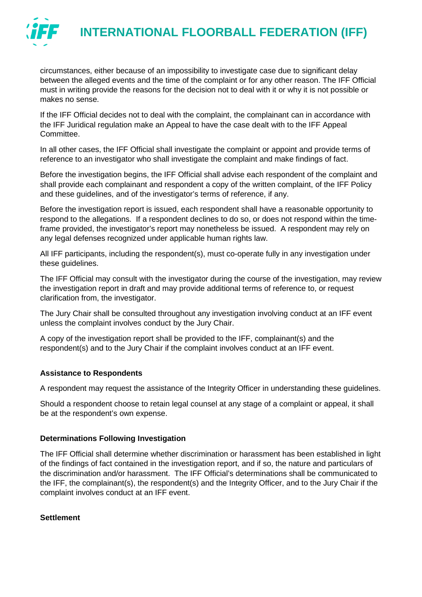

circumstances, either because of an impossibility to investigate case due to significant delay between the alleged events and the time of the complaint or for any other reason. The IFF Official must in writing provide the reasons for the decision not to deal with it or why it is not possible or makes no sense.

If the IFF Official decides not to deal with the complaint, the complainant can in accordance with the IFF Juridical regulation make an Appeal to have the case dealt with to the IFF Appeal Committee.

In all other cases, the IFF Official shall investigate the complaint or appoint and provide terms of reference to an investigator who shall investigate the complaint and make findings of fact.

Before the investigation begins, the IFF Official shall advise each respondent of the complaint and shall provide each complainant and respondent a copy of the written complaint, of the IFF Policy and these guidelines, and of the investigator's terms of reference, if any.

Before the investigation report is issued, each respondent shall have a reasonable opportunity to respond to the allegations. If a respondent declines to do so, or does not respond within the timeframe provided, the investigator's report may nonetheless be issued. A respondent may rely on any legal defenses recognized under applicable human rights law.

All IFF participants, including the respondent(s), must co-operate fully in any investigation under these guidelines.

The IFF Official may consult with the investigator during the course of the investigation, may review the investigation report in draft and may provide additional terms of reference to, or request clarification from, the investigator.

The Jury Chair shall be consulted throughout any investigation involving conduct at an IFF event unless the complaint involves conduct by the Jury Chair.

A copy of the investigation report shall be provided to the IFF, complainant(s) and the respondent(s) and to the Jury Chair if the complaint involves conduct at an IFF event.

#### **Assistance to Respondents**

A respondent may request the assistance of the Integrity Officer in understanding these guidelines.

Should a respondent choose to retain legal counsel at any stage of a complaint or appeal, it shall be at the respondent's own expense.

#### **Determinations Following Investigation**

The IFF Official shall determine whether discrimination or harassment has been established in light of the findings of fact contained in the investigation report, and if so, the nature and particulars of the discrimination and/or harassment. The IFF Official's determinations shall be communicated to the IFF, the complainant(s), the respondent(s) and the Integrity Officer, and to the Jury Chair if the complaint involves conduct at an IFF event.

#### **Settlement**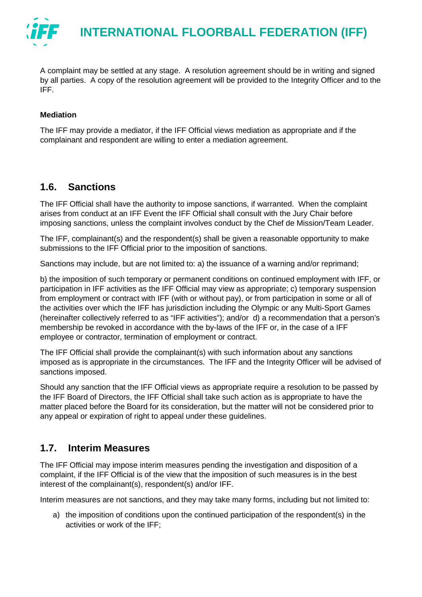

A complaint may be settled at any stage. A resolution agreement should be in writing and signed by all parties. A copy of the resolution agreement will be provided to the Integrity Officer and to the IFF.

#### **Mediation**

The IFF may provide a mediator, if the IFF Official views mediation as appropriate and if the complainant and respondent are willing to enter a mediation agreement.

### **1.6. Sanctions**

The IFF Official shall have the authority to impose sanctions, if warranted. When the complaint arises from conduct at an IFF Event the IFF Official shall consult with the Jury Chair before imposing sanctions, unless the complaint involves conduct by the Chef de Mission/Team Leader.

The IFF, complainant(s) and the respondent(s) shall be given a reasonable opportunity to make submissions to the IFF Official prior to the imposition of sanctions.

Sanctions may include, but are not limited to: a) the issuance of a warning and/or reprimand;

b) the imposition of such temporary or permanent conditions on continued employment with IFF, or participation in IFF activities as the IFF Official may view as appropriate; c) temporary suspension from employment or contract with IFF (with or without pay), or from participation in some or all of the activities over which the IFF has jurisdiction including the Olympic or any Multi-Sport Games (hereinafter collectively referred to as "IFF activities"); and/or d) a recommendation that a person's membership be revoked in accordance with the by-laws of the IFF or, in the case of a IFF employee or contractor, termination of employment or contract.

The IFF Official shall provide the complainant(s) with such information about any sanctions imposed as is appropriate in the circumstances. The IFF and the Integrity Officer will be advised of sanctions imposed.

Should any sanction that the IFF Official views as appropriate require a resolution to be passed by the IFF Board of Directors, the IFF Official shall take such action as is appropriate to have the matter placed before the Board for its consideration, but the matter will not be considered prior to any appeal or expiration of right to appeal under these guidelines.

# **1.7. Interim Measures**

The IFF Official may impose interim measures pending the investigation and disposition of a complaint, if the IFF Official is of the view that the imposition of such measures is in the best interest of the complainant(s), respondent(s) and/or IFF.

Interim measures are not sanctions, and they may take many forms, including but not limited to:

a) the imposition of conditions upon the continued participation of the respondent(s) in the activities or work of the IFF;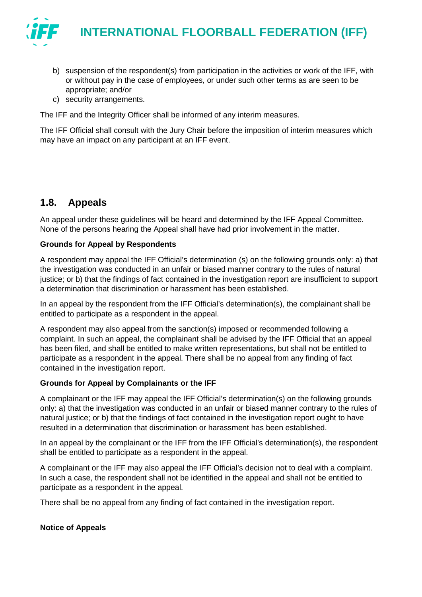

- b) suspension of the respondent(s) from participation in the activities or work of the IFF, with or without pay in the case of employees, or under such other terms as are seen to be appropriate; and/or
- c) security arrangements.

The IFF and the Integrity Officer shall be informed of any interim measures.

The IFF Official shall consult with the Jury Chair before the imposition of interim measures which may have an impact on any participant at an IFF event.

# **1.8. Appeals**

An appeal under these guidelines will be heard and determined by the IFF Appeal Committee. None of the persons hearing the Appeal shall have had prior involvement in the matter.

#### **Grounds for Appeal by Respondents**

A respondent may appeal the IFF Official's determination (s) on the following grounds only: a) that the investigation was conducted in an unfair or biased manner contrary to the rules of natural justice; or b) that the findings of fact contained in the investigation report are insufficient to support a determination that discrimination or harassment has been established.

In an appeal by the respondent from the IFF Official's determination(s), the complainant shall be entitled to participate as a respondent in the appeal.

A respondent may also appeal from the sanction(s) imposed or recommended following a complaint. In such an appeal, the complainant shall be advised by the IFF Official that an appeal has been filed, and shall be entitled to make written representations, but shall not be entitled to participate as a respondent in the appeal. There shall be no appeal from any finding of fact contained in the investigation report.

#### **Grounds for Appeal by Complainants or the IFF**

A complainant or the IFF may appeal the IFF Official's determination(s) on the following grounds only: a) that the investigation was conducted in an unfair or biased manner contrary to the rules of natural justice; or b) that the findings of fact contained in the investigation report ought to have resulted in a determination that discrimination or harassment has been established.

In an appeal by the complainant or the IFF from the IFF Official's determination(s), the respondent shall be entitled to participate as a respondent in the appeal.

A complainant or the IFF may also appeal the IFF Official's decision not to deal with a complaint. In such a case, the respondent shall not be identified in the appeal and shall not be entitled to participate as a respondent in the appeal.

There shall be no appeal from any finding of fact contained in the investigation report.

#### **Notice of Appeals**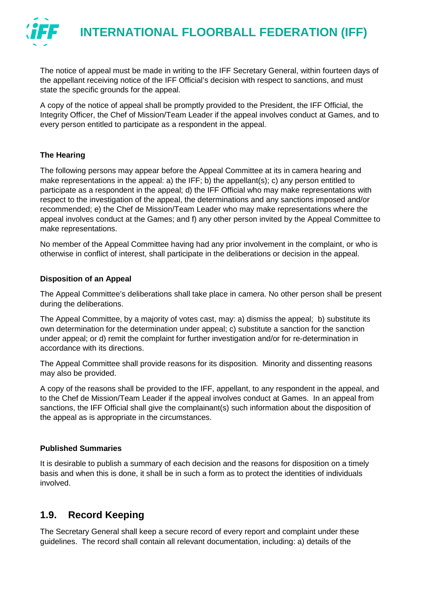

The notice of appeal must be made in writing to the IFF Secretary General, within fourteen days of the appellant receiving notice of the IFF Official's decision with respect to sanctions, and must state the specific grounds for the appeal.

A copy of the notice of appeal shall be promptly provided to the President, the IFF Official, the Integrity Officer, the Chef of Mission/Team Leader if the appeal involves conduct at Games, and to every person entitled to participate as a respondent in the appeal.

#### **The Hearing**

The following persons may appear before the Appeal Committee at its in camera hearing and make representations in the appeal: a) the IFF; b) the appellant(s); c) any person entitled to participate as a respondent in the appeal; d) the IFF Official who may make representations with respect to the investigation of the appeal, the determinations and any sanctions imposed and/or recommended; e) the Chef de Mission/Team Leader who may make representations where the appeal involves conduct at the Games; and f) any other person invited by the Appeal Committee to make representations.

No member of the Appeal Committee having had any prior involvement in the complaint, or who is otherwise in conflict of interest, shall participate in the deliberations or decision in the appeal.

#### **Disposition of an Appeal**

The Appeal Committee's deliberations shall take place in camera. No other person shall be present during the deliberations.

The Appeal Committee, by a majority of votes cast, may: a) dismiss the appeal; b) substitute its own determination for the determination under appeal; c) substitute a sanction for the sanction under appeal; or d) remit the complaint for further investigation and/or for re-determination in accordance with its directions.

The Appeal Committee shall provide reasons for its disposition. Minority and dissenting reasons may also be provided.

A copy of the reasons shall be provided to the IFF, appellant, to any respondent in the appeal, and to the Chef de Mission/Team Leader if the appeal involves conduct at Games. In an appeal from sanctions, the IFF Official shall give the complainant(s) such information about the disposition of the appeal as is appropriate in the circumstances.

#### **Published Summaries**

It is desirable to publish a summary of each decision and the reasons for disposition on a timely basis and when this is done, it shall be in such a form as to protect the identities of individuals involved.

# **1.9. Record Keeping**

The Secretary General shall keep a secure record of every report and complaint under these guidelines. The record shall contain all relevant documentation, including: a) details of the